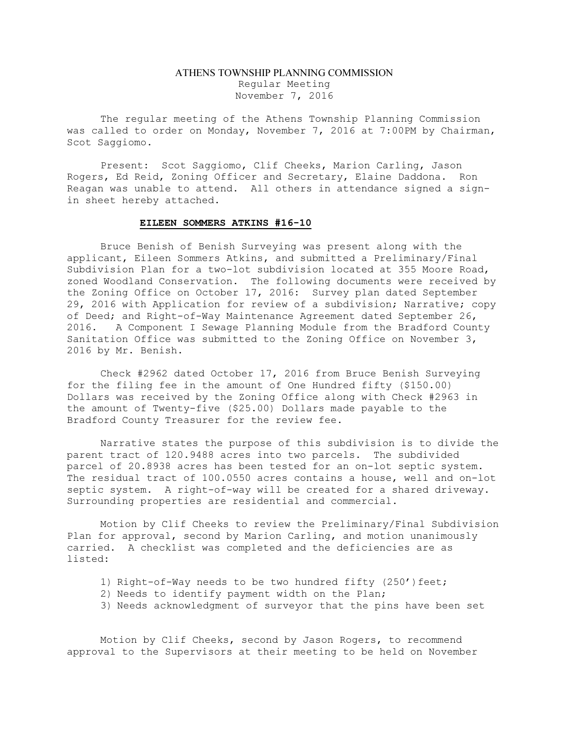## ATHENS TOWNSHIP PLANNING COMMISSION Regular Meeting November 7, 2016

The regular meeting of the Athens Township Planning Commission was called to order on Monday, November 7, 2016 at 7:00PM by Chairman, Scot Saggiomo.

Present: Scot Saggiomo, Clif Cheeks, Marion Carling, Jason Rogers, Ed Reid, Zoning Officer and Secretary, Elaine Daddona. Ron Reagan was unable to attend. All others in attendance signed a signin sheet hereby attached.

## EILEEN SOMMERS ATKINS #16-10

 Bruce Benish of Benish Surveying was present along with the applicant, Eileen Sommers Atkins, and submitted a Preliminary/Final Subdivision Plan for a two-lot subdivision located at 355 Moore Road, zoned Woodland Conservation. The following documents were received by the Zoning Office on October 17, 2016: Survey plan dated September 29, 2016 with Application for review of a subdivision; Narrative; copy of Deed; and Right-of-Way Maintenance Agreement dated September 26, 2016. A Component I Sewage Planning Module from the Bradford County Sanitation Office was submitted to the Zoning Office on November 3, 2016 by Mr. Benish.

Check #2962 dated October 17, 2016 from Bruce Benish Surveying for the filing fee in the amount of One Hundred fifty (\$150.00) Dollars was received by the Zoning Office along with Check #2963 in the amount of Twenty-five (\$25.00) Dollars made payable to the Bradford County Treasurer for the review fee.

 Narrative states the purpose of this subdivision is to divide the parent tract of 120.9488 acres into two parcels. The subdivided parcel of 20.8938 acres has been tested for an on-lot septic system. The residual tract of 100.0550 acres contains a house, well and on-lot septic system. A right-of-way will be created for a shared driveway. Surrounding properties are residential and commercial.

Motion by Clif Cheeks to review the Preliminary/Final Subdivision Plan for approval, second by Marion Carling, and motion unanimously carried. A checklist was completed and the deficiencies are as listed:

- 1) Right-of-Way needs to be two hundred fifty (250') feet;
- 2) Needs to identify payment width on the Plan;
- 3) Needs acknowledgment of surveyor that the pins have been set

Motion by Clif Cheeks, second by Jason Rogers, to recommend approval to the Supervisors at their meeting to be held on November